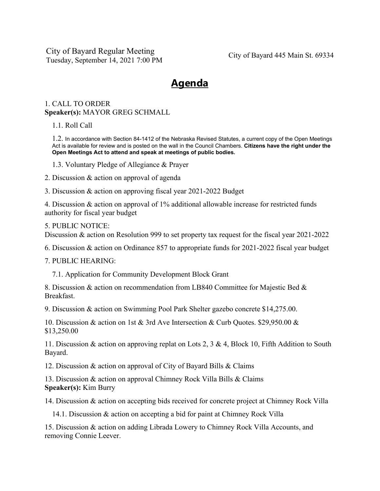City of Bayard Regular Meeting Tuesday, September 14, 2021 7:00 PM City of Bayard 445 Main St. 69334

## **Agenda**

## 1. CALL TO ORDER **Speaker(s):** MAYOR GREG SCHMALL

1.1. Roll Call

1.2. In accordance with Section 84-1412 of the Nebraska Revised Statutes, a current copy of the Open Meetings Act is available for review and is posted on the wall in the Council Chambers. **Citizens have the right under the Open Meetings Act to attend and speak at meetings of public bodies.**

1.3. Voluntary Pledge of Allegiance & Prayer

2. Discussion & action on approval of agenda

3. Discussion & action on approving fiscal year 2021-2022 Budget

4. Discussion & action on approval of 1% additional allowable increase for restricted funds authority for fiscal year budget

## 5. PUBLIC NOTICE:

Discussion & action on Resolution 999 to set property tax request for the fiscal year 2021-2022

6. Discussion & action on Ordinance 857 to appropriate funds for 2021-2022 fiscal year budget

7. PUBLIC HEARING:

7.1. Application for Community Development Block Grant

8. Discussion & action on recommendation from LB840 Committee for Majestic Bed & Breakfast.

9. Discussion & action on Swimming Pool Park Shelter gazebo concrete \$14,275.00.

10. Discussion & action on 1st & 3rd Ave Intersection & Curb Quotes. \$29,950.00 & \$13,250.00

11. Discussion & action on approving replat on Lots 2, 3 & 4, Block 10, Fifth Addition to South Bayard.

12. Discussion & action on approval of City of Bayard Bills & Claims

13. Discussion & action on approval Chimney Rock Villa Bills & Claims **Speaker(s):** Kim Burry

14. Discussion & action on accepting bids received for concrete project at Chimney Rock Villa

14.1. Discussion & action on accepting a bid for paint at Chimney Rock Villa

15. Discussion & action on adding Librada Lowery to Chimney Rock Villa Accounts, and removing Connie Leever.